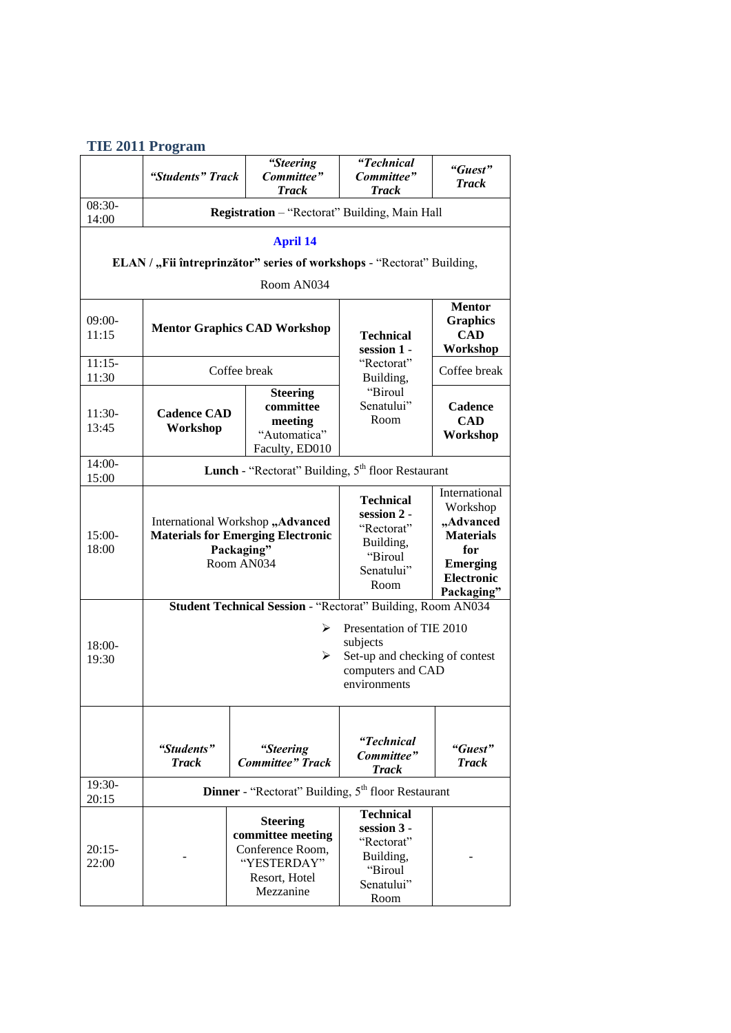|  |  | <b>TIE 2011 Program</b> |
|--|--|-------------------------|
|--|--|-------------------------|

|                                                                                                         | "Students" Track                                                                                                                                                                     |                                                                       | "Steering<br>Committee"<br><b>Track</b>                                                               | "Technical<br>Committee"<br><b>Track</b>                                                                                | "Guest"<br><b>Track</b>           |  |
|---------------------------------------------------------------------------------------------------------|--------------------------------------------------------------------------------------------------------------------------------------------------------------------------------------|-----------------------------------------------------------------------|-------------------------------------------------------------------------------------------------------|-------------------------------------------------------------------------------------------------------------------------|-----------------------------------|--|
| 08:30-<br>14:00                                                                                         | Registration - "Rectorat" Building, Main Hall                                                                                                                                        |                                                                       |                                                                                                       |                                                                                                                         |                                   |  |
| <b>April 14</b><br>ELAN / "Fii întreprinzător" series of workshops - "Rectorat" Building,<br>Room AN034 |                                                                                                                                                                                      |                                                                       |                                                                                                       |                                                                                                                         |                                   |  |
| $09:00-$<br>11:15                                                                                       | <b>Mentor Graphics CAD Workshop</b>                                                                                                                                                  |                                                                       | <b>Technical</b><br>session 1 -<br>"Rectorat"<br>Building,                                            | <b>Mentor</b><br><b>Graphics</b><br><b>CAD</b><br>Workshop                                                              |                                   |  |
| $11:15-$<br>11:30                                                                                       | Coffee break                                                                                                                                                                         |                                                                       |                                                                                                       | Coffee break                                                                                                            |                                   |  |
| $11:30-$<br>13:45                                                                                       | <b>Cadence CAD</b><br>Workshop                                                                                                                                                       |                                                                       | <b>Steering</b><br>committee<br>meeting<br>"Automatica"<br>Faculty, ED010                             | "Biroul<br>Senatului"<br>Room                                                                                           | Cadence<br><b>CAD</b><br>Workshop |  |
| $14:00-$<br>15:00                                                                                       | Lunch - "Rectorat" Building, 5 <sup>th</sup> floor Restaurant                                                                                                                        |                                                                       |                                                                                                       |                                                                                                                         |                                   |  |
| $15:00-$<br>18:00                                                                                       | International Workshop "Advanced<br><b>Materials for Emerging Electronic</b><br>Packaging"<br>Room AN034                                                                             |                                                                       | <b>Technical</b><br>session 2 -<br>"Rectorat"<br>Building,<br>"Biroul<br>Senatului"<br>Room           | International<br>Workshop<br>"Advanced<br><b>Materials</b><br>for<br><b>Emerging</b><br><b>Electronic</b><br>Packaging" |                                   |  |
| 18:00-<br>19:30                                                                                         | Student Technical Session - "Rectorat" Building, Room AN034<br>Presentation of TIE 2010<br>➤<br>subjects<br>Set-up and checking of contest<br>➤<br>computers and CAD<br>environments |                                                                       |                                                                                                       |                                                                                                                         |                                   |  |
|                                                                                                         | "Students"<br><b>Track</b>                                                                                                                                                           |                                                                       | "Steering<br><b>Committee</b> " Track                                                                 | "Technical<br>Committee"<br><b>Track</b>                                                                                | "Guest"<br><b>Track</b>           |  |
| 19:30-<br>20:15                                                                                         |                                                                                                                                                                                      | <b>Dinner</b> - "Rectorat" Building, 5 <sup>th</sup> floor Restaurant |                                                                                                       |                                                                                                                         |                                   |  |
| $20:15-$<br>22:00                                                                                       |                                                                                                                                                                                      |                                                                       | <b>Steering</b><br>committee meeting<br>Conference Room,<br>"YESTERDAY"<br>Resort, Hotel<br>Mezzanine | <b>Technical</b><br>session 3 -<br>"Rectorat"<br>Building,<br>"Biroul<br>Senatului"<br>Room                             |                                   |  |